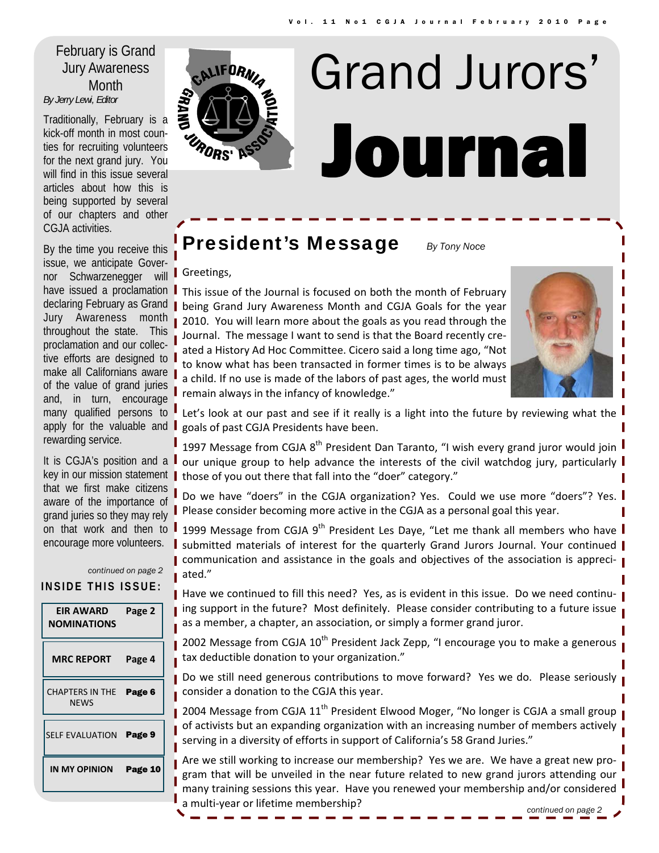## Jury Awareness Month *By Jerry Lewi, Editor*

Traditionally, February is a kick-off month in most counties for recruiting volunteers for the next grand jury. You will find in this issue several articles about how this is being supported by several of our chapters and other CGJA activities.

By the time you receive this issue, we anticipate Governor Schwarzenegger will have issued a proclamation declaring February as Grand Jury Awareness month throughout the state. This proclamation and our collective efforts are designed to make all Californians aware of the value of grand juries and, in turn, encourage many qualified persons to apply for the valuable and **I** rewarding service.

It is CGJA's position and a key in our mission statement that we first make citizens aware of the importance of grand juries so they may rely on that work and then to encourage more volunteers.

| INSIDE THIS ISSUE:              |                   | continued on page 2 |
|---------------------------------|-------------------|---------------------|
| EIR AWARD<br><b>NOMINATIONS</b> |                   | Page 2              |
|                                 | <b>MRC REPORT</b> | Page 4              |
| CHAPTERS IN THE<br><b>NFWS</b>  |                   | Page 6              |
| <b>SELF EVALUATION</b>          |                   | Page 9              |
| IN MY OPINION                   |                   | Page 10             |
|                                 |                   |                     |



## **President's Message** *By Tony Noce*

#### Greetings,

This issue of the Journal is focused on both the month of February being Grand Jury Awareness Month and CGJA Goals for the year 2010. You will learn more about the goals as you read through the Journal. The message I want to send is that the Board recently cre‐ ated a History Ad Hoc Committee. Cicero said a long time ago, "Not to know what has been transacted in former times is to be always a child. If no use is made of the labors of past ages, the world must remain always in the infancy of knowledge."



Let's look at our past and see if it really is a light into the future by reviewing what the  $\frac{1}{2}$ goals of past CGJA Presidents have been.

1997 Message from CGJA 8<sup>th</sup> President Dan Taranto, "I wish every grand juror would join our unique group to help advance the interests of the civil watchdog jury, particularly those of you out there that fall into the "doer" category."

Do we have "doers" in the CGJA organization? Yes. Could we use more "doers"? Yes. Please consider becoming more active in the CGJA as a personal goal this year.

1999 Message from CGJA 9<sup>th</sup> President Les Daye, "Let me thank all members who have **I** submitted materials of interest for the quarterly Grand Jurors Journal. Your continued **■** communication and assistance in the goals and objectives of the association is appreciated."

■ Have we continued to fill this need? Yes, as is evident in this issue. Do we need continuing support in the future? Most definitely. Please consider contributing to a future issue as a member, a chapter, an association, or simply a former grand juror.

2002 Message from CGJA  $10<sup>th</sup>$  President Jack Zepp, "I encourage you to make a generous tax deductible donation to your organization."

Do we still need generous contributions to move forward? Yes we do. Please seriously consider a donation to the CGJA this year.

2004 Message from CGJA  $11<sup>th</sup>$  President Elwood Moger, "No longer is CGJA a small group of activists but an expanding organization with an increasing number of members actively serving in a diversity of efforts in support of California's 58 Grand Juries."

Are we still working to increase our membership? Yes we are. We have a great new pro‐ gram that will be unveiled in the near future related to new grand jurors attending our many training sessions this year. Have you renewed your membership and/or considered a multi‐year or lifetime membership? *continued on page 2*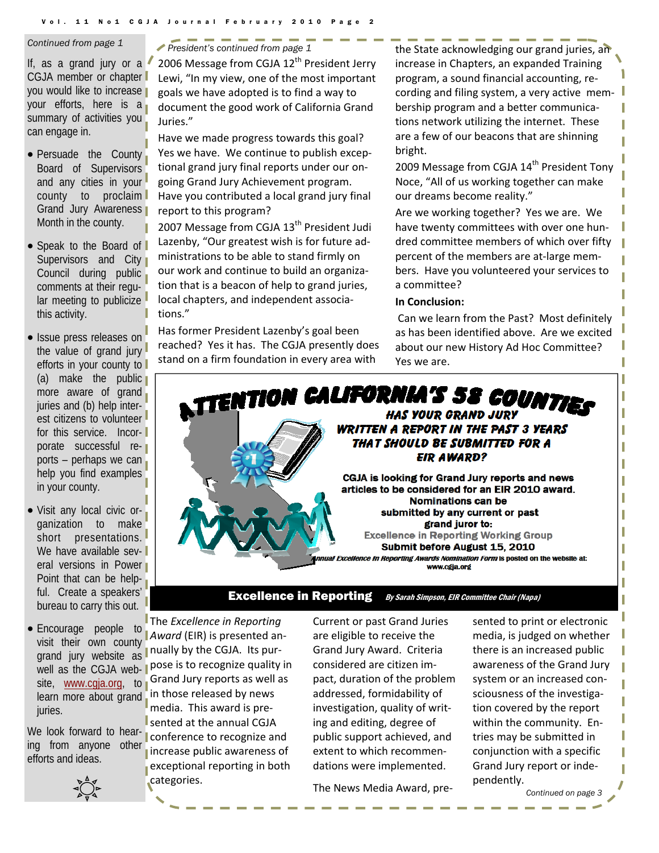If, as a grand jury or a CGJA member or chapter you would like to increase your efforts, here is a summary of activities you can engage in.

- Persuade the County Board of Supervisors and any cities in your county to proclaim Grand Jury Awareness Month in the county.
- Speak to the Board of Supervisors and City Council during public comments at their regular meeting to publicize this activity.
- Issue press releases on the value of grand jury efforts in your county to (a) make the public more aware of grand juries and (b) help interest citizens to volunteer for this service. Incorporate successful reports – perhaps we can help you find examples in your county.
- Visit any local civic organization to make short presentations. We have available several versions in Power Point that can be helpful. Create a speakers' bureau to carry this out.
- Encourage people to visit their own county grand jury website as well as the CGJA website, www.cgja.org, to learn more about grand juries.

ing from anyone other efforts and ideas.



<span id="page-1-0"></span>*Continued from page 1 President's continued from page 1* 

2006 Message from CGJA  $12<sup>th</sup>$  President Jerry Lewi, "In my view, one of the most important goals we have adopted is to find a way to document the good work of California Grand Juries."

Have we made progress towards this goal? Yes we have. We continue to publish excep‐ tional grand jury final reports under our on‐ going Grand Jury Achievement program. Have you contributed a local grand jury final report to this program?

2007 Message from CGJA  $13<sup>th</sup>$  President Judi Lazenby, "Our greatest wish is for future ad‐ ministrations to be able to stand firmly on our work and continue to build an organiza‐ tion that is a beacon of help to grand juries, local chapters, and independent associa‐ tions."

Has former President Lazenby's goal been reached? Yes it has. The CGJA presently does stand on a firm foundation in every area with

the State acknowledging our grand juries, an increase in Chapters, an expanded Training program, a sound financial accounting, re‐ cording and filing system, a very active mem‐ bership program and a better communica‐ tions network utilizing the internet. These are a few of our beacons that are shinning bright.

2009 Message from CGJA 14<sup>th</sup> President Tony Noce, "All of us working together can make our dreams become reality."

Are we working together? Yes we are. We have twenty committees with over one hun‐ dred committee members of which over fifty percent of the members are at‐large mem‐ bers. Have you volunteered your services to a committee?

#### **In Conclusion:**

Can we learn from the Past? Most definitely as has been identified above. Are we excited about our new History Ad Hoc Committee? Yes we are.



#### **Excellence in Reporting** By Sarah Simpson, EIR Committee Chair (Napa)

The *Excellence in Reporting Award* (EIR) is presented an‐ nually by the CGJA. Its pur‐ pose is to recognize quality in Grand Jury reports as well as in those released by news media. This award is pre‐ sented at the annual CGJA We look forward to hear-<br>line from environment of conference to recognize and increase public awareness of exceptional reporting in both

categories.

Current or past Grand Juries are eligible to receive the Grand Jury Award. Criteria considered are citizen im‐ pact, duration of the problem addressed, formidability of investigation, quality of writ‐ ing and editing, degree of public support achieved, and extent to which recommen‐ dations were implemented.

The News Media Award, pre‐

sented to print or electronic media, is judged on whether there is an increased public awareness of the Grand Jury system or an increased con‐ sciousness of the investiga‐ tion covered by the report within the community. En‐ tries may be submitted in conjunction with a specific Grand Jury report or inde‐ pendently.

*Continued on page 3*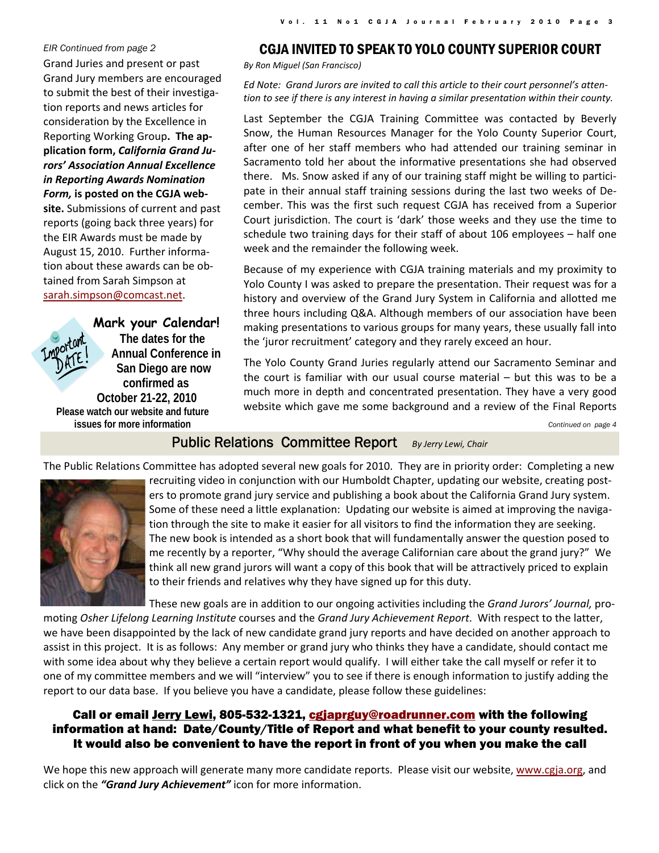#### *EIR Continued from page 2*

Grand Juries and present or past Grand Jury members are encouraged to submit the best of their investiga‐ tion reports and news articles for consideration by the Excellence in Reporting Working Group**. The ap‐ plication form,** *California Grand Ju‐ rors' Association Annual Excellence in Reporting Awards Nomination Form,* **is posted on the CGJA web‐ site.** Submissions of current and past reports (going back three years) for the EIR Awards must be made by August 15, 2010. Further informa‐

tained from Sarah Simpson at sarah.simpson@comcast.net.

tion about these awards can be ob‐

#### **Mark your Calendar!**

**The dates for the Annual Conference in San Diego are now confirmed as October 21-22, 2010 Please watch our website and future issues for more information** 

#### CGJA INVITED TO SPEAK TO YOLO COUNTY SUPERIOR COURT

*By Ron Miguel (San Francisco)*

*Ed Note: Grand Jurors are invited to call this article to their court personnel's atten‐ tion to see if there is any interest in having a similar presentation within their county.*

Last September the CGJA Training Committee was contacted by Beverly Snow, the Human Resources Manager for the Yolo County Superior Court, after one of her staff members who had attended our training seminar in Sacramento told her about the informative presentations she had observed there. Ms. Snow asked if any of our training staff might be willing to partici‐ pate in their annual staff training sessions during the last two weeks of De‐ cember. This was the first such request CGJA has received from a Superior Court jurisdiction. The court is 'dark' those weeks and they use the time to schedule two training days for their staff of about 106 employees – half one week and the remainder the following week.

Because of my experience with CGJA training materials and my proximity to Yolo County I was asked to prepare the presentation. Their request was for a history and overview of the Grand Jury System in California and allotted me three hours including Q&A. Although members of our association have been making presentations to various groups for many years, these usually fall into the 'juror recruitment' category and they rarely exceed an hour.

The Yolo County Grand Juries regularly attend our Sacramento Seminar and the court is familiar with our usual course material – but this was to be a much more in depth and concentrated presentation. They have a very good website which gave me some background and a review of the Final Reports

*Continued on page 4* 

### Public Relations Committee Report *By Jerry Lewi, Chair*

The Public Relations Committee has adopted several new goals for 2010. They are in priority order: Completing a new



recruiting video in conjunction with our Humboldt Chapter, updating our website, creating posters to promote grand jury service and publishing a book about the California Grand Jury system. Some of these need a little explanation: Updating our website is aimed at improving the naviga‐ tion through the site to make it easier for all visitors to find the information they are seeking. The new book is intended as a short book that will fundamentally answer the question posed to me recently by a reporter, "Why should the average Californian care about the grand jury?" We think all new grand jurors will want a copy of this book that will be attractively priced to explain to their friends and relatives why they have signed up for this duty.

These new goals are in addition to our ongoing activities including the *Grand Jurors' Journal,* pro‐

moting *Osher Lifelong Learning Institute* courses and the *Grand Jury Achievement Report*. With respect to the latter, we have been disappointed by the lack of new candidate grand jury reports and have decided on another approach to assist in this project. It is as follows: Any member or grand jury who thinks they have a candidate, should contact me with some idea about why they believe a certain report would qualify. I will either take the call myself or refer it to one of my committee members and we will "interview" you to see if there is enough information to justify adding the report to our data base. If you believe you have a candidate, please follow these guidelines:

### Call or email <u>Jerry Lewi</u>, 805-532-1321, cgjaprguy@roadrunner.com with the following information at hand: Date/County/Title of Report and what benefit to your county resulted. It would also be convenient to have the report in front of you when you make the call

We hope this new approach will generate many more candidate reports. Please visit our website, www.cgja.org, and click on the *"Grand Jury Achievement"* icon for more information.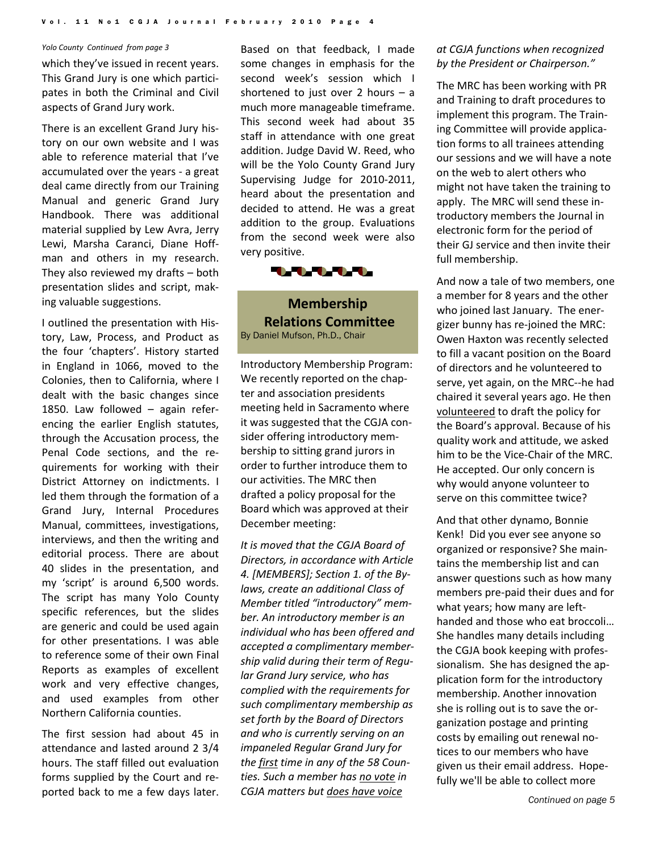#### <span id="page-3-0"></span>*Yolo County Continued from page 3*

which they've issued in recent years. This Grand Jury is one which partici‐ pates in both the Criminal and Civil aspects of Grand Jury work.

There is an excellent Grand Jury his‐ tory on our own website and I was able to reference material that I've accumulated over the years ‐ a great deal came directly from our Training Manual and generic Grand Jury Handbook. There was additional material supplied by Lew Avra, Jerry Lewi, Marsha Caranci, Diane Hoff‐ man and others in my research. They also reviewed my drafts – both presentation slides and script, mak‐ ing valuable suggestions.

I outlined the presentation with His‐ tory, Law, Process, and Product as the four 'chapters'. History started in England in 1066, moved to the Colonies, then to California, where I dealt with the basic changes since 1850. Law followed – again refer‐ encing the earlier English statutes, through the Accusation process, the Penal Code sections, and the re‐ quirements for working with their District Attorney on indictments. I led them through the formation of a Grand Jury, Internal Procedures Manual, committees, investigations, interviews, and then the writing and editorial process. There are about 40 slides in the presentation, and my 'script' is around 6,500 words. The script has many Yolo County specific references, but the slides are generic and could be used again for other presentations. I was able to reference some of their own Final Reports as examples of excellent work and very effective changes, and used examples from other Northern California counties.

The first session had about 45 in attendance and lasted around 2 3/4 hours. The staff filled out evaluation forms supplied by the Court and re‐ ported back to me a few days later.

Based on that feedback, I made some changes in emphasis for the second week's session which I shortened to just over 2 hours  $-$  a much more manageable timeframe. This second week had about 35 staff in attendance with one great addition. Judge David W. Reed, who will be the Yolo County Grand Jury Supervising Judge for 2010‐2011, heard about the presentation and decided to attend. He was a great addition to the group. Evaluations from the second week were also very positive.



**Membership Relations Committee** By Daniel Mufson, Ph.D., Chair

Introductory Membership Program: We recently reported on the chapter and association presidents meeting held in Sacramento where it was suggested that the CGJA con‐ sider offering introductory mem‐ bership to sitting grand jurors in order to further introduce them to our activities. The MRC then drafted a policy proposal for the Board which was approved at their December meeting:

*It is moved that the CGJA Board of Directors, in accordance with Article 4. [MEMBERS]; Section 1. of the By‐ laws, create an additional Class of Member titled "introductory" mem‐ ber. An introductory member is an individual who has been offered and accepted a complimentary member‐ ship valid during their term of Regu‐ lar Grand Jury service, who has complied with the requirements for such complimentary membership as set forth by the Board of Directors and who is currently serving on an impaneled Regular Grand Jury for the first time in any of the 58 Coun‐ ties. Such a member has no vote in CGJA matters but does have voice*

#### *at CGJA functions when recognized by the President or Chairperson."*

The MRC has been working with PR and Training to draft procedures to implement this program. The Train‐ ing Committee will provide applica‐ tion forms to all trainees attending our sessions and we will have a note on the web to alert others who might not have taken the training to apply. The MRC will send these in‐ troductory members the Journal in electronic form for the period of their GJ service and then invite their full membership.

And now a tale of two members, one a member for 8 years and the other who joined last January. The energizer bunny has re‐joined the MRC: Owen Haxton was recently selected to fill a vacant position on the Board of directors and he volunteered to serve, yet again, on the MRC--he had chaired it several years ago. He then volunteered to draft the policy for the Board's approval. Because of his quality work and attitude, we asked him to be the Vice‐Chair of the MRC. He accepted. Our only concern is why would anyone volunteer to serve on this committee twice?

And that other dynamo, Bonnie Kenk! Did you ever see anyone so organized or responsive? She main‐ tains the membership list and can answer questions such as how many members pre‐paid their dues and for what years; how many are lefthanded and those who eat broccoli… She handles many details including the CGJA book keeping with profes‐ sionalism. She has designed the ap‐ plication form for the introductory membership. Another innovation she is rolling out is to save the or‐ ganization postage and printing costs by emailing out renewal no‐ tices to our members who have given us their email address. Hope‐ fully we'll be able to collect more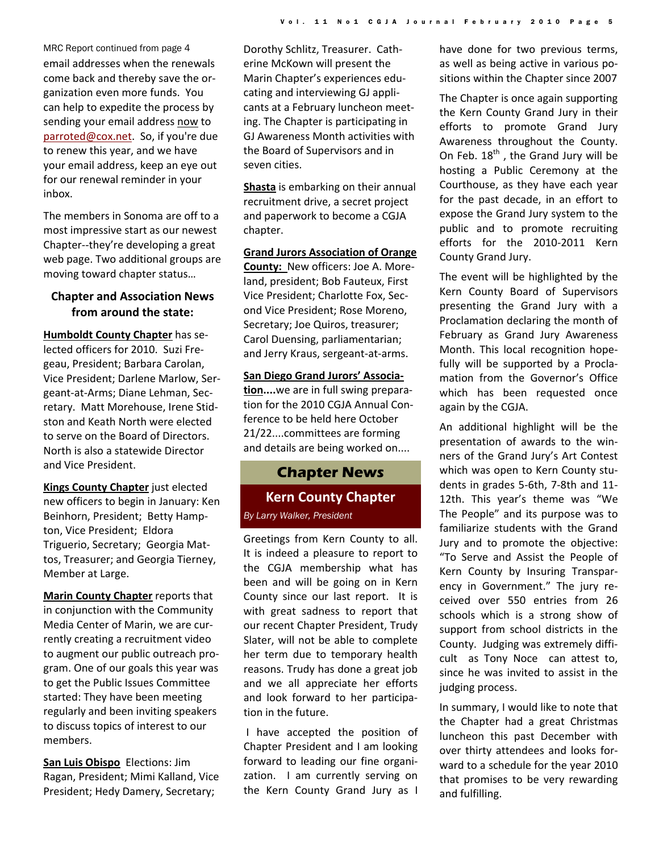email addresses when the renewals come back and thereby save the or‐ ganization even more funds. You can help to expedite the process by sending your email address now to parroted@cox.net. So, if you're due to renew this year, and we have your email address, keep an eye out for our renewal reminder in your inbox. MRC Report continued from page 4

The members in Sonoma are off to a most impressive start as our newest Chapter‐‐they're developing a great web page. Two additional groups are moving toward chapter status…

### **Chapter and Association News from around the state:**

**Humboldt County Chapter** has se‐ lected officers for 2010. Suzi Fre‐ geau, President; Barbara Carolan, Vice President; Darlene Marlow, Ser‐ geant‐at‐Arms; Diane Lehman, Sec‐ retary. Matt Morehouse, Irene Stid‐ ston and Keath North were elected to serve on the Board of Directors. North is also a statewide Director and Vice President.

**Kings County Chapter** just elected new officers to begin in January: Ken Beinhorn, President; Betty Hamp‐ ton, Vice President; Eldora Triguerio, Secretary; Georgia Mat‐ tos, Treasurer; and Georgia Tierney, Member at Large.

**Marin County Chapter** reports that in conjunction with the Community Media Center of Marin, we are cur‐ rently creating a recruitment video to augment our public outreach pro‐ gram. One of our goals this year was to get the Public Issues Committee started: They have been meeting regularly and been inviting speakers to discuss topics of interest to our members.

**San Luis Obispo** Elections: Jim Ragan, President; Mimi Kalland, Vice President; Hedy Damery, Secretary;

Dorothy Schlitz, Treasurer. Cath‐ erine McKown will present the Marin Chapter's experiences edu‐ cating and interviewing GJ appli‐ cants at a February luncheon meet‐ ing. The Chapter is participating in GJ Awareness Month activities with the Board of Supervisors and in seven cities.

**Shasta** is embarking on their annual recruitment drive, a secret project and paperwork to become a CGJA chapter.

**Grand Jurors Association of Orange County:** New officers: Joe A. Moreland, president; Bob Fauteux, First Vice President; Charlotte Fox, Sec‐ ond Vice President; Rose Moreno, Secretary; Joe Quiros, treasurer; Carol Duensing, parliamentarian; and Jerry Kraus, sergeant‐at‐arms.

#### **San Diego Grand Jurors' Associa‐**

**tion....**we are in full swing prepara‐ tion for the 2010 CGJA Annual Con‐ ference to be held here October 21/22....committees are forming and details are being worked on....

### **Chapter News**

## **Kern County Chapter** *By Larry Walker, President*

Greetings from Kern County to all. It is indeed a pleasure to report to the CGJA membership what has been and will be going on in Kern County since our last report. It is with great sadness to report that our recent Chapter President, Trudy Slater, will not be able to complete her term due to temporary health reasons. Trudy has done a great job and we all appreciate her efforts and look forward to her participa‐ tion in the future.

I have accepted the position of Chapter President and I am looking forward to leading our fine organi‐ zation. I am currently serving on the Kern County Grand Jury as I have done for two previous terms, as well as being active in various po‐ sitions within the Chapter since 2007

The Chapter is once again supporting the Kern County Grand Jury in their efforts to promote Grand Jury Awareness throughout the County. On Feb.  $18<sup>th</sup>$ , the Grand Jury will be hosting a Public Ceremony at the Courthouse, as they have each year for the past decade, in an effort to expose the Grand Jury system to the public and to promote recruiting efforts for the 2010‐2011 Kern County Grand Jury.

The event will be highlighted by the Kern County Board of Supervisors presenting the Grand Jury with a Proclamation declaring the month of February as Grand Jury Awareness Month. This local recognition hope‐ fully will be supported by a Procla‐ mation from the Governor's Office which has been requested once again by the CGJA.

An additional highlight will be the presentation of awards to the win‐ ners of the Grand Jury's Art Contest which was open to Kern County students in grades 5‐6th, 7‐8th and 11‐ 12th. This year's theme was "We The People" and its purpose was to familiarize students with the Grand Jury and to promote the objective: "To Serve and Assist the People of Kern County by Insuring Transpar‐ ency in Government." The jury re‐ ceived over 550 entries from 26 schools which is a strong show of support from school districts in the County. Judging was extremely diffi‐ cult as Tony Noce can attest to, since he was invited to assist in the judging process.

In summary, I would like to note that the Chapter had a great Christmas luncheon this past December with over thirty attendees and looks for‐ ward to a schedule for the year 2010 that promises to be very rewarding and fulfilling.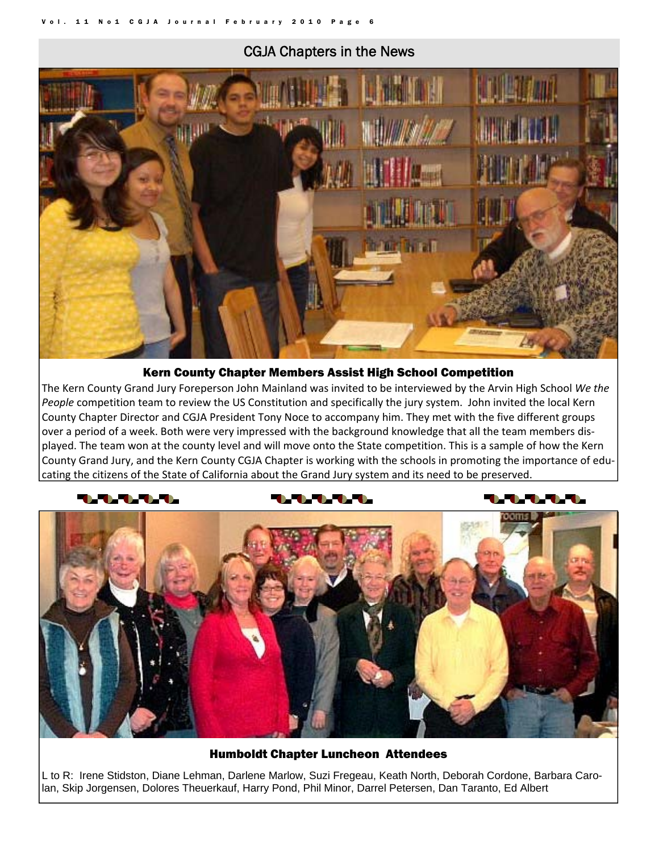## CGJA Chapters in the News

<span id="page-5-0"></span>

#### Kern County Chapter Members Assist High School Competition

The Kern County Grand Jury Foreperson John Mainland was invited to be interviewed by the Arvin High School *We the People* competition team to review the US Constitution and specifically the jury system. John invited the local Kern County Chapter Director and CGJA President Tony Noce to accompany him. They met with the five different groups over a period of a week. Both were very impressed with the background knowledge that all the team members dis‐ played. The team won at the county level and will move onto the State competition. This is a sample of how the Kern County Grand Jury, and the Kern County CGJA Chapter is working with the schools in promoting the importance of edu‐ cating the citizens of the State of California about the Grand Jury system and its need to be preserved.

#### **AAA**

#### **AAA**

#### **TATATA**



Humboldt Chapter Luncheon Attendees

L to R: Irene Stidston, Diane Lehman, Darlene Marlow, Suzi Fregeau, Keath North, Deborah Cordone, Barbara Carolan, Skip Jorgensen, Dolores Theuerkauf, Harry Pond, Phil Minor, Darrel Petersen, Dan Taranto, Ed Albert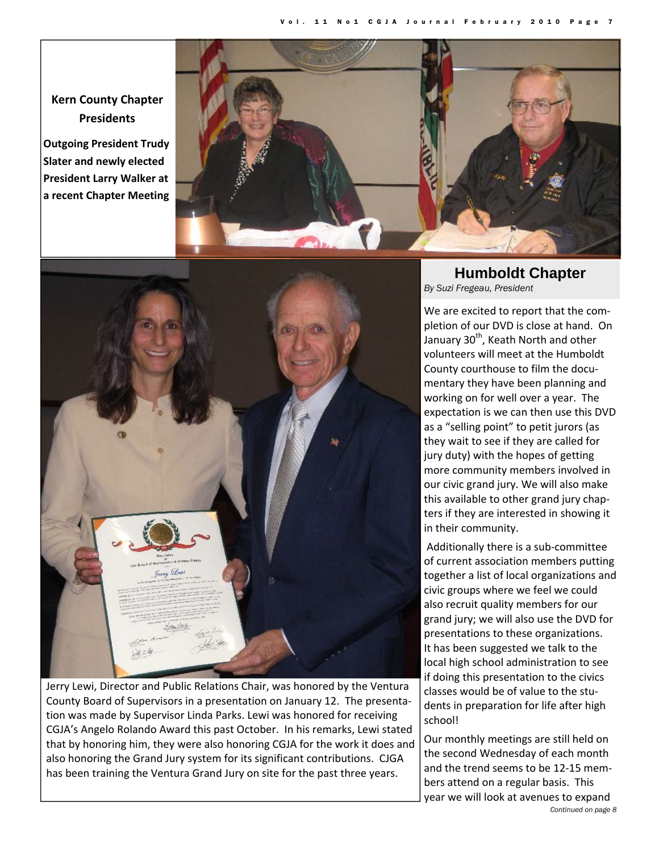**Kern County Chapter Presidents**

**Outgoing President Trudy Slater and newly elected President Larry Walker at a recent Chapter Meeting**





Jerry Lewi, Director and Public Relations Chair, was honored by the Ventura County Board of Supervisors in a presentation on January 12. The presenta‐ tion was made by Supervisor Linda Parks. Lewi was honored for receiving CGJA's Angelo Rolando Award this past October. In his remarks, Lewi stated that by honoring him, they were also honoring CGJA for the work it does and also honoring the Grand Jury system for its significant contributions. CJGA has been training the Ventura Grand Jury on site for the past three years.

## **Humboldt Chapter**  *By Suzi Fregeau, President*

We are excited to report that the completion of our DVD is close at hand. On January 30<sup>th</sup>, Keath North and other volunteers will meet at the Humboldt County courthouse to film the docu‐ mentary they have been planning and working on for well over a year. The expectation is we can then use this DVD as a "selling point" to petit jurors (as they wait to see if they are called for jury duty) with the hopes of getting more community members involved in our civic grand jury. We will also make this available to other grand jury chap‐ ters if they are interested in showing it in their community.

Additionally there is a sub‐committee of current association members putting together a list of local organizations and civic groups where we feel we could also recruit quality members for our grand jury; we will also use the DVD for presentations to these organizations. It has been suggested we talk to the local high school administration to see if doing this presentation to the civics classes would be of value to the stu‐ dents in preparation for life after high school!

*Continued on page 8*  Our monthly meetings are still held on the second Wednesday of each month and the trend seems to be 12‐15 mem‐ bers attend on a regular basis. This year we will look at avenues to expand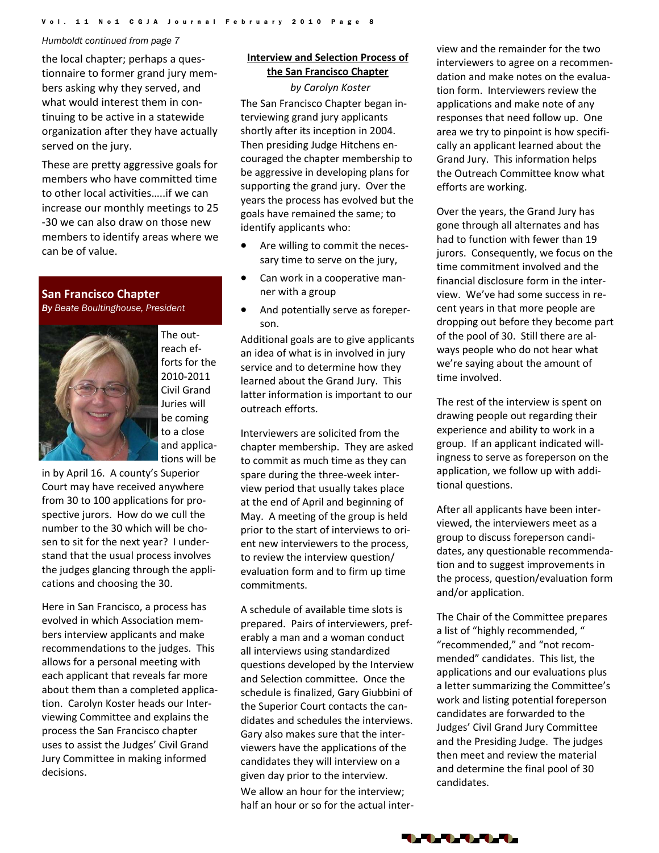#### *Humboldt continued from page 7*

the local chapter; perhaps a ques‐ tionnaire to former grand jury mem‐ bers asking why they served, and what would interest them in continuing to be active in a statewide organization after they have actually served on the jury.

These are pretty aggressive goals for members who have committed time to other local activities…..if we can increase our monthly meetings to 25 ‐30 we can also draw on those new members to identify areas where we can be of value.

#### **San Francisco Chapter**

*By Beate Boultinghouse, President*



The out‐ reach ef‐ forts for the 2010‐2011 Civil Grand Juries will be coming to a close and applica‐ tions will be

in by April 16. A county's Superior Court may have received anywhere from 30 to 100 applications for pro‐ spective jurors. How do we cull the number to the 30 which will be cho‐ sen to sit for the next year? I under‐ stand that the usual process involves the judges glancing through the appli‐ cations and choosing the 30.

Here in San Francisco, a process has evolved in which Association mem‐ bers interview applicants and make recommendations to the judges. This allows for a personal meeting with each applicant that reveals far more about them than a completed applica‐ tion. Carolyn Koster heads our Inter‐ viewing Committee and explains the process the San Francisco chapter uses to assist the Judges' Civil Grand Jury Committee in making informed decisions.

#### **Interview and Selection Process of the San Francisco Chapter**

*by Carolyn Koster* The San Francisco Chapter began in‐ terviewing grand jury applicants shortly after its inception in 2004. Then presiding Judge Hitchens en‐ couraged the chapter membership to be aggressive in developing plans for supporting the grand jury. Over the years the process has evolved but the goals have remained the same; to identify applicants who:

- Are willing to commit the necessary time to serve on the jury,
- Can work in a cooperative manner with a group
- And potentially serve as foreperson.

Additional goals are to give applicants an idea of what is in involved in jury service and to determine how they learned about the Grand Jury. This latter information is important to our outreach efforts.

Interviewers are solicited from the chapter membership. They are asked to commit as much time as they can spare during the three‐week inter‐ view period that usually takes place at the end of April and beginning of May. A meeting of the group is held prior to the start of interviews to ori‐ ent new interviewers to the process, to review the interview question/ evaluation form and to firm up time commitments.

A schedule of available time slots is prepared. Pairs of interviewers, pref‐ erably a man and a woman conduct all interviews using standardized questions developed by the Interview and Selection committee. Once the schedule is finalized, Gary Giubbini of the Superior Court contacts the can‐ didates and schedules the interviews. Gary also makes sure that the inter‐ viewers have the applications of the candidates they will interview on a given day prior to the interview. We allow an hour for the interview: half an hour or so for the actual inter‐

view and the remainder for the two interviewers to agree on a recommen‐ dation and make notes on the evalua‐ tion form. Interviewers review the applications and make note of any responses that need follow up. One area we try to pinpoint is how specifi‐ cally an applicant learned about the Grand Jury. This information helps the Outreach Committee know what efforts are working.

Over the years, the Grand Jury has gone through all alternates and has had to function with fewer than 19 jurors. Consequently, we focus on the time commitment involved and the financial disclosure form in the inter‐ view. We've had some success in re‐ cent years in that more people are dropping out before they become part of the pool of 30. Still there are al‐ ways people who do not hear what we're saying about the amount of time involved.

The rest of the interview is spent on drawing people out regarding their experience and ability to work in a group. If an applicant indicated will‐ ingness to serve as foreperson on the application, we follow up with addi‐ tional questions.

After all applicants have been inter‐ viewed, the interviewers meet as a group to discuss foreperson candi‐ dates, any questionable recommenda‐ tion and to suggest improvements in the process, question/evaluation form and/or application.

The Chair of the Committee prepares a list of "highly recommended, " "recommended," and "not recom‐ mended" candidates. This list, the applications and our evaluations plus a letter summarizing the Committee's work and listing potential foreperson candidates are forwarded to the Judges' Civil Grand Jury Committee and the Presiding Judge. The judges then meet and review the material and determine the final pool of 30 candidates.

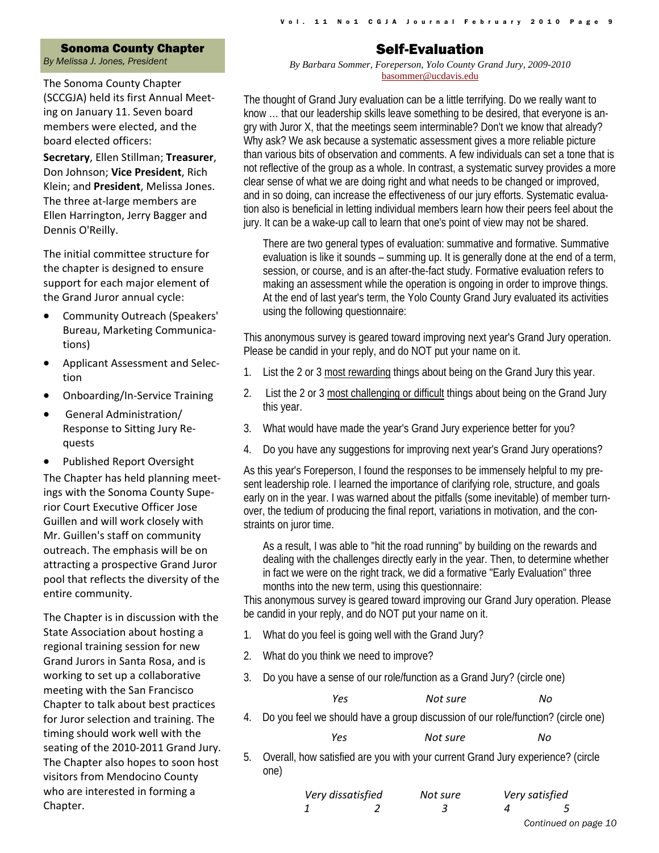#### Sonoma County Chapter

<span id="page-8-0"></span>*By Melissa J. Jones, President* 

The Sonoma County Chapter (SCCGJA) held its first Annual Meet‐ ing on January 11. Seven board members were elected, and the board elected officers:

**Secretary**, Ellen Stillman; **Treasurer**, Don Johnson; **Vice President**, Rich Klein; and **President**, Melissa Jones. The three at‐large members are Ellen Harrington, Jerry Bagger and Dennis O'Reilly.

The initial committee structure for the chapter is designed to ensure support for each major element of the Grand Juror annual cycle:

- Community Outreach (Speakers' Bureau, Marketing Communica‐ tions)
- Applicant Assessment and Selec‐ tion
- Onboarding/In‐Service Training
- General Administration/ Response to Sitting Jury Re‐ quests
- Published Report Oversight

The Chapter has held planning meet‐ ings with the Sonoma County Supe‐ rior Court Executive Officer Jose Guillen and will work closely with Mr. Guillen's staff on community outreach. The emphasis will be on attracting a prospective Grand Juror pool that reflects the diversity of the entire community.

The Chapter is in discussion with the State Association about hosting a regional training session for new Grand Jurors in Santa Rosa, and is working to set up a collaborative meeting with the San Francisco Chapter to talk about best practices for Juror selection and training. The timing should work well with the seating of the 2010‐2011 Grand Jury. The Chapter also hopes to soon host visitors from Mendocino County who are interested in forming a Chapter.

## Self-Evaluation

*By Barbara Sommer, Foreperson, Yolo County Grand Jury, 2009-2010*  basommer@ucdavis.edu

The thought of Grand Jury evaluation can be a little terrifying. Do we really want to know … that our leadership skills leave something to be desired, that everyone is angry with Juror X, that the meetings seem interminable? Don't we know that already? Why ask? We ask because a systematic assessment gives a more reliable picture than various bits of observation and comments. A few individuals can set a tone that is not reflective of the group as a whole. In contrast, a systematic survey provides a more clear sense of what we are doing right and what needs to be changed or improved, and in so doing, can increase the effectiveness of our jury efforts. Systematic evaluation also is beneficial in letting individual members learn how their peers feel about the jury. It can be a wake-up call to learn that one's point of view may not be shared.

There are two general types of evaluation: summative and formative. Summative evaluation is like it sounds – summing up. It is generally done at the end of a term, session, or course, and is an after-the-fact study. Formative evaluation refers to making an assessment while the operation is ongoing in order to improve things. At the end of last year's term, the Yolo County Grand Jury evaluated its activities using the following questionnaire:

This anonymous survey is geared toward improving next year's Grand Jury operation. Please be candid in your reply, and do NOT put your name on it.

- 1. List the 2 or 3 most rewarding things about being on the Grand Jury this year.
- 2. List the 2 or 3 most challenging or difficult things about being on the Grand Jury this year.
- 3. What would have made the year's Grand Jury experience better for you?
- 4. Do you have any suggestions for improving next year's Grand Jury operations?

As this year's Foreperson, I found the responses to be immensely helpful to my present leadership role. I learned the importance of clarifying role, structure, and goals early on in the year. I was warned about the pitfalls (some inevitable) of member turnover, the tedium of producing the final report, variations in motivation, and the constraints on juror time.

As a result, I was able to "hit the road running" by building on the rewards and dealing with the challenges directly early in the year. Then, to determine whether in fact we were on the right track, we did a formative "Early Evaluation" three months into the new term, using this questionnaire:

This anonymous survey is geared toward improving our Grand Jury operation. Please be candid in your reply, and do NOT put your name on it.

- 1. What do you feel is going well with the Grand Jury?
- 2. What do you think we need to improve?
- 3. Do you have a sense of our role/function as a Grand Jury? (circle one)

| Yes | Not sure | No |
|-----|----------|----|
|     |          |    |

4. Do you feel we should have a group discussion of our role/function? (circle one)

*Yes Not sure No*

5. Overall, how satisfied are you with your current Grand Jury experience? (circle one)

| Very dissatisfied | Not sure | Very satisfied |                      |
|-------------------|----------|----------------|----------------------|
|                   |          |                |                      |
|                   |          |                | Continued on page 10 |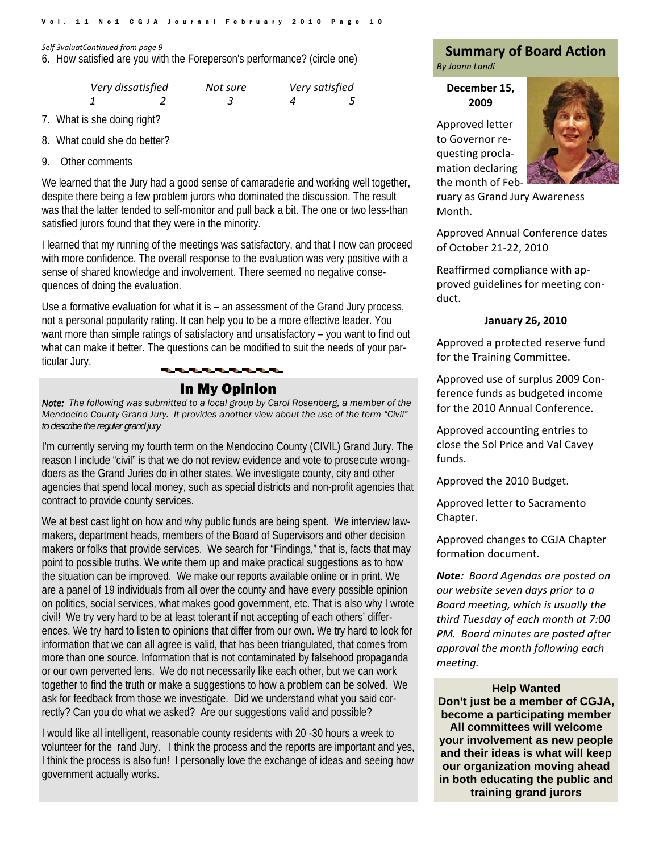<span id="page-9-0"></span>

| Very dissatisfied | Not sure | Very satisfied |
|-------------------|----------|----------------|
|                   |          |                |

- 7. What is she doing right?
- 8. What could she do better?
- 9. Other comments

We learned that the Jury had a good sense of camaraderie and working well together, despite there being a few problem jurors who dominated the discussion. The result was that the latter tended to self-monitor and pull back a bit. The one or two less-than satisfied jurors found that they were in the minority.

I learned that my running of the meetings was satisfactory, and that I now can proceed with more confidence. The overall response to the evaluation was very positive with a sense of shared knowledge and involvement. There seemed no negative consequences of doing the evaluation.

Use a formative evaluation for what it is – an assessment of the Grand Jury process, not a personal popularity rating. It can help you to be a more effective leader. You want more than simple ratings of satisfactory and unsatisfactory – you want to find out what can make it better. The questions can be modified to suit the needs of your particular Jury.



*Note: The following was submitted to a local group by Carol Rosenberg, a member of the Mendocino County Grand Jury. It provides another view about the use of the term "Civil" to describe the regular grand jury* 

I'm currently serving my fourth term on the Mendocino County (CIVIL) Grand Jury. The reason I include "civil" is that we do not review evidence and vote to prosecute wrongdoers as the Grand Juries do in other states. We investigate county, city and other agencies that spend local money, such as special districts and non-profit agencies that contract to provide county services.

We at best cast light on how and why public funds are being spent. We interview lawmakers, department heads, members of the Board of Supervisors and other decision makers or folks that provide services. We search for "Findings," that is, facts that may point to possible truths. We write them up and make practical suggestions as to how the situation can be improved. We make our reports available online or in print. We are a panel of 19 individuals from all over the county and have every possible opinion on politics, social services, what makes good government, etc. That is also why I wrote civil! We try very hard to be at least tolerant if not accepting of each others' differences. We try hard to listen to opinions that differ from our own. We try hard to look for information that we can all agree is valid, that has been triangulated, that comes from more than one source. Information that is not contaminated by falsehood propaganda or our own perverted lens. We do not necessarily like each other, but we can work together to find the truth or make a suggestions to how a problem can be solved. We ask for feedback from those we investigate. Did we understand what you said correctly? Can you do what we asked? Are our suggestions valid and possible?

I would like all intelligent, reasonable county residents with 20 -30 hours a week to volunteer for the rand Jury. I think the process and the reports are important and yes, I think the process is also fun! I personally love the exchange of ideas and seeing how government actually works.

#### Self 3valuatContinued from page 9<br>6. How satisfied are you with the Foreperson's performance? (circle one) *By Joann Landi*

**December 15, 2009**

Approved letter to Governor re‐ questing procla‐ mation declaring the month of Feb‐



ruary as Grand Jury Awareness Month.

Approved Annual Conference dates of October 21‐22, 2010

Reaffirmed compliance with ap‐ proved guidelines for meeting con‐ duct.

#### **January 26, 2010**

Approved a protected reserve fund for the Training Committee.

Approved use of surplus 2009 Con‐ ference funds as budgeted income for the 2010 Annual Conference.

Approved accounting entries to close the Sol Price and Val Cavey funds.

Approved the 2010 Budget.

Approved letter to Sacramento Chapter.

Approved changes to CGJA Chapter formation document.

*Note: Board Agendas are posted on our website seven days prior to a Board meeting, which is usually the third Tuesday of each month at 7:00 PM. Board minutes are posted after approval the month following each meeting.*

#### **Help Wanted**

**Don't just be a member of CGJA, become a participating member All committees will welcome your involvement as new people and their ideas is what will keep our organization moving ahead in both educating the public and training grand jurors**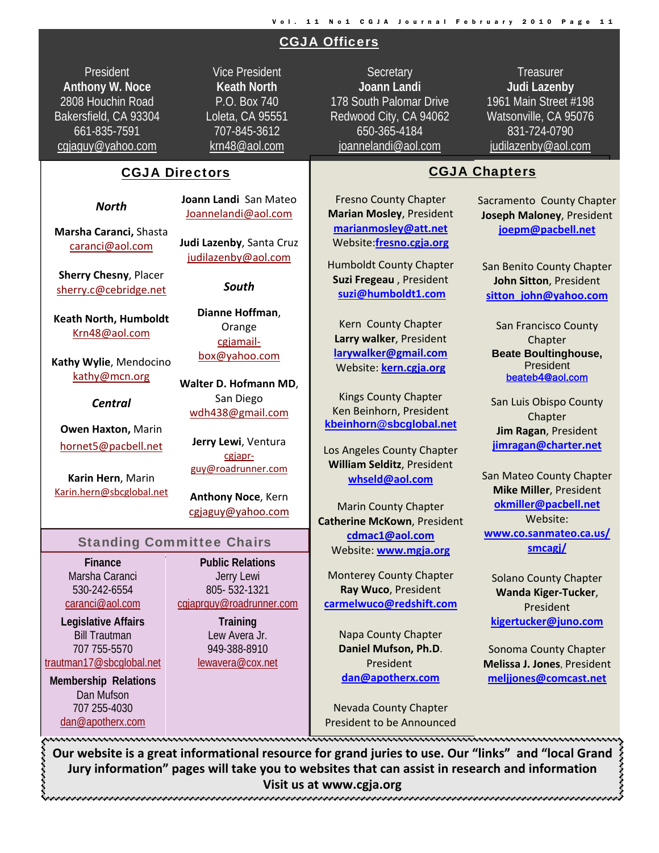## CGJA Officers

President **Anthony W. Noce**  2808 Houchin Road Bakersfield, CA 93304 661-835-7591 cgjaguy@yahoo.com

Vice President **Keath North**  P.O. Box 740 Loleta, CA 95551 707-845-3612 krn48@aol.com

#### CGJA Directors

#### *North*

**Marsha Caranci,** Shasta caranci@aol.com

**Sherry Chesny**, Placer sherry.c@cebridge.net

**Keath North, Humboldt** Krn48@aol.com

**Kathy Wylie**, Mendocino kathy@mcn.org

*Central*

**Owen Haxton,** Marin hornet5@pacbell.net

**Karin Hern**, Marin Karin.hern@sbcglobal.net **Joann Landi** San Mateo Joannelandi@aol.com

**Judi Lazenby**, Santa Cruz judilazenby@aol.com

*South*

**Dianne Hoffman**, **Orange** cgjamail‐ box@yahoo.com

**Walter D. Hofmann MD**, San Diego wdh438@gmail.com

**Jerry Lewi**, Ventura cgjapr‐ guy@roadrunner.com

**Anthony Noce**, Kern cgjaguy@yahoo.com

#### Standing Committee Chairs

**Finance**  Marsha Caranci 530-242-6554 caranci@aol.com

**Legislative Affairs**  Bill Trautman 707 755-5570 trautman17@sbcglobal.net

**Membership Relations**  Dan Mufson 707 255-4030 dan@apotherx.com

Jerry Lewi 805- 532-1321 cgjaprguy@roadrunner.com

> **Training**  Lew Avera Jr. 949-388-8910 lewavera@cox.net

**Secretary Joann Landi** 178 South Palomar Drive Redwood City, CA 94062 650-365-4184 joannelandi@aol.com

**Treasurer Judi Lazenby**  1961 Main Street #198 Watsonville, CA 95076 831-724-0790 judilazenby@aol.com

i

## CGJA Chapters

Fresno County Chapter **Marian Mosley**, President **marianmosley@att.net** Website:**fresno.cgja.org**

Humboldt County Chapter **Suzi Fregeau** , President **suzi@humboldt1.com**

Kern County Chapter **Larry walker**, President **larywalker@gmail.com** Website: **kern.cgja.org**

Kings County Chapter Ken Beinhorn, President **kbeinhorn@sbcglobal.net**

Los Angeles County Chapter **William Selditz**, President **whseld@aol.com**

Marin County Chapter **Catherine McKown**, President **cdmac1@aol.com** Website: **www.mgja.org**

Monterey County Chapter **Ray Wuco**, President **carmelwuco@redshift.com**

Napa County Chapter **Daniel Mufson, Ph.D**. President **dan@apotherx.com**

Sacramento County Chapter

**Joseph Maloney**, President **joepm@pacbell.net**

San Benito County Chapter **John Sitton**, President **sitton\_john@yahoo.com**

San Francisco County Chapter **Beate Boultinghouse,**  President beateb4@aol.com

San Luis Obispo County Chapter **Jim Ragan**, President **jimragan@charter.net**

San Mateo County Chapter **Mike Miller**, President **okmiller@pacbell.net** Website: **www.co.sanmateo.ca.us/ smcagj/**

Solano County Chapter **Wanda Kiger‐Tucker**, President **kigertucker@juno.com**

Sonoma County Chapter **Melissa J. Jones**, President **meljjones@comcast.net**

Nevada County Chapter President to be Announced

Our website is a great informational resource for grand juries to use. Our "links" and "local Grand **Jury information" pages will take you to websites that can assist in research and information Visit us at www.cgja.org**

# **Public Relations**